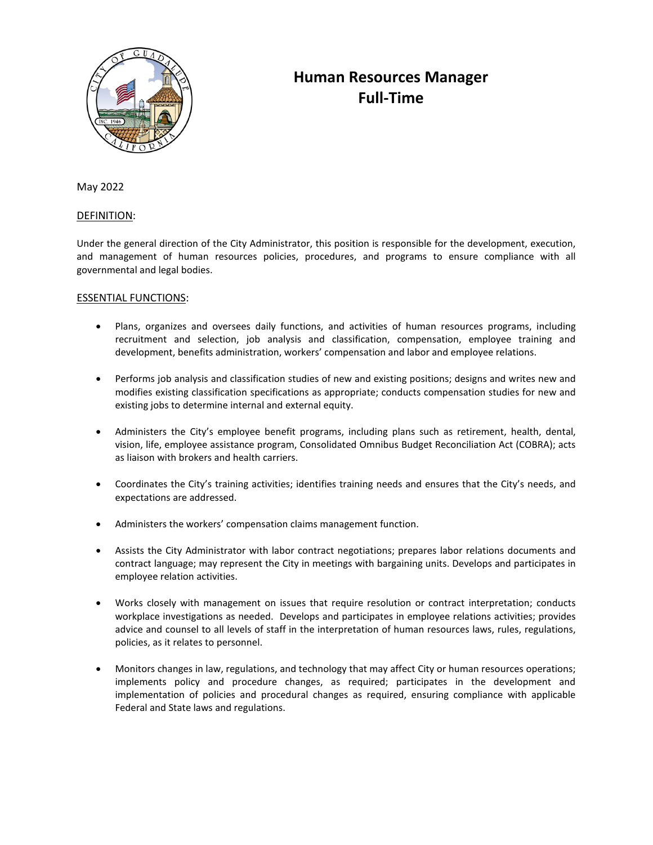

# **Human Resources Manager Full-Time**

May 2022

# DEFINITION:

Under the general direction of the City Administrator, this position is responsible for the development, execution, and management of human resources policies, procedures, and programs to ensure compliance with all governmental and legal bodies.

# ESSENTIAL FUNCTIONS:

- Plans, organizes and oversees daily functions, and activities of human resources programs, including recruitment and selection, job analysis and classification, compensation, employee training and development, benefits administration, workers' compensation and labor and employee relations.
- Performs job analysis and classification studies of new and existing positions; designs and writes new and modifies existing classification specifications as appropriate; conducts compensation studies for new and existing jobs to determine internal and external equity.
- Administers the City's employee benefit programs, including plans such as retirement, health, dental, vision, life, employee assistance program, Consolidated Omnibus Budget Reconciliation Act (COBRA); acts as liaison with brokers and health carriers.
- Coordinates the City's training activities; identifies training needs and ensures that the City's needs, and expectations are addressed.
- Administers the workers' compensation claims management function.
- Assists the City Administrator with labor contract negotiations; prepares labor relations documents and contract language; may represent the City in meetings with bargaining units. Develops and participates in employee relation activities.
- Works closely with management on issues that require resolution or contract interpretation; conducts workplace investigations as needed. Develops and participates in employee relations activities; provides advice and counsel to all levels of staff in the interpretation of human resources laws, rules, regulations, policies, as it relates to personnel.
- Monitors changes in law, regulations, and technology that may affect City or human resources operations; implements policy and procedure changes, as required; participates in the development and implementation of policies and procedural changes as required, ensuring compliance with applicable Federal and State laws and regulations.